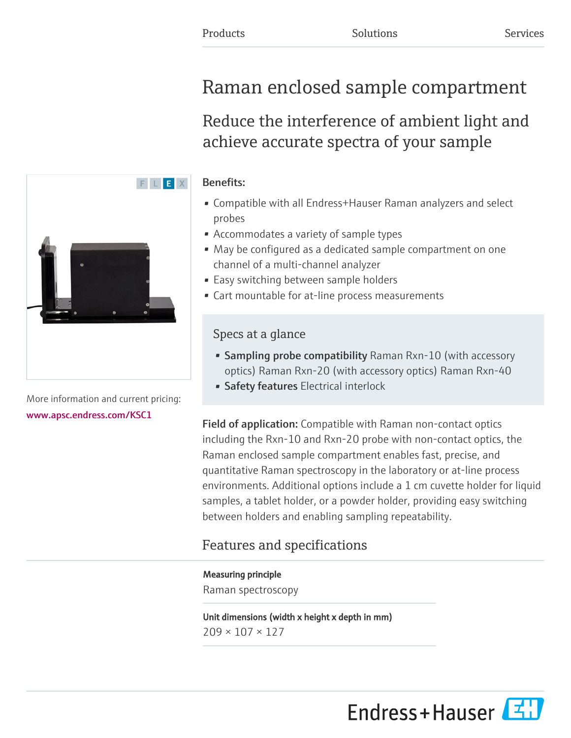# Raman enclosed sample compartment

Reduce the interference of ambient light and achieve accurate spectra of your sample

### Benefits:

- Compatible with all Endress+Hauser Raman analyzers and select probes
- Accommodates a variety of sample types
- May be configured as a dedicated sample compartment on one channel of a multi-channel analyzer
- Easy switching between sample holders
- Cart mountable for at-line process measurements

# Specs at a glance

- Sampling probe compatibility Raman Rxn-10 (with accessory optics) Raman Rxn-20 (with accessory optics) Raman Rxn-40
- Safety features Electrical interlock

Field of application: Compatible with Raman non-contact optics including the Rxn-10 and Rxn-20 probe with non-contact optics, the Raman enclosed sample compartment enables fast, precise, and quantitative Raman spectroscopy in the laboratory or at-line process environments. Additional options include a 1 cm cuvette holder for liquid samples, a tablet holder, or a powder holder, providing easy switching between holders and enabling sampling repeatability.

# Features and specifications

## Measuring principle

Raman spectroscopy

Unit dimensions (width x height x depth in mm) 209 × 107 × 127



More information and current pricing: [www.apsc.endress.com/KSC1](https://www.apsc.endress.com/KSC1)